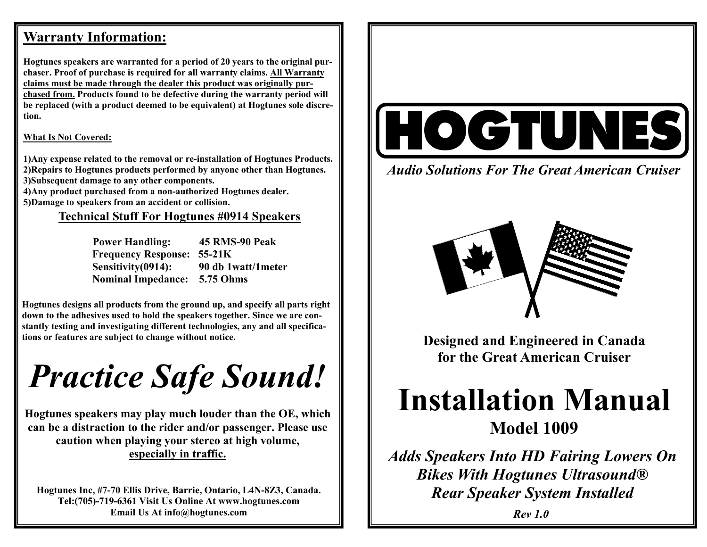## **Warranty Information:**

**Hogtunes speakers are warranted for a period of 20 years to the original purchaser. Proof of purchase is required for all warranty claims. All Warranty claims must be made through the dealer this product was originally purchased from. Products found to be defective during the warranty period will be replaced (with a product deemed to be equivalent) at Hogtunes sole discretion.** 

#### **What Is Not Covered:**

**1)Any expense related to the removal or re-installation of Hogtunes Products. 2)Repairs to Hogtunes products performed by anyone other than Hogtunes. 3)Subsequent damage to any other components.** 

**4)Any product purchased from a non-authorized Hogtunes dealer. 5)Damage to speakers from an accident or collision.** 

### **Technical Stuff For Hogtunes #0914 Speakers**

| <b>Power Handling:</b>            | 45 RMS-90 Peak     |
|-----------------------------------|--------------------|
| <b>Frequency Response: 55-21K</b> |                    |
| Sensitivity(0914):                | 90 db 1watt/1meter |
| <b>Nominal Impedance:</b>         | 5.75 Ohms          |

**Hogtunes designs all products from the ground up, and specify all parts right down to the adhesives used to hold the speakers together. Since we are constantly testing and investigating different technologies, any and all specifications or features are subject to change without notice.** 

*Practice Safe Sound!* 

**Hogtunes speakers may play much louder than the OE, which can be a distraction to the rider and/or passenger. Please use caution when playing your stereo at high volume, especially in traffic.** 

**Hogtunes Inc, #7-70 Ellis Drive, Barrie, Ontario, L4N-8Z3, Canada. Tel:(705)-719-6361 Visit Us Online At www.hogtunes.com Email Us At info@hogtunes.com** 



*Audio Solutions For The Great American Cruiser* 



**Designed and Engineered in Canada for the Great American Cruiser** 

# **Installation Manual Model 1009**

*Adds Speakers Into HD Fairing Lowers On Bikes With Hogtunes Ultrasound® Rear Speaker System Installed*